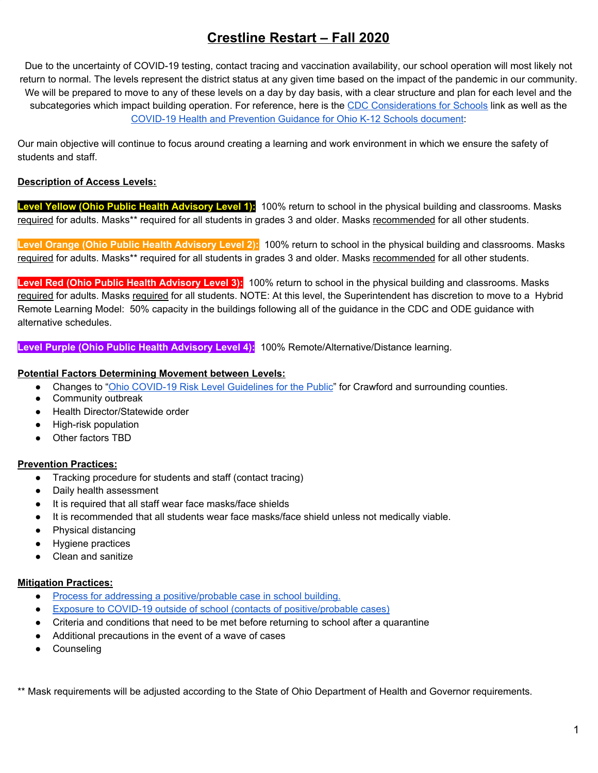# **Crestline Restart – Fall 2020**

Due to the uncertainty of COVID-19 testing, contact tracing and vaccination availability, our school operation will most likely not return to normal. The levels represent the district status at any given time based on the impact of the pandemic in our community. We will be prepared to move to any of these levels on a day by day basis, with a clear structure and plan for each level and the subcategories which impact building operation. For reference, here is the CDC [Considerations](https://www.cdc.gov/coronavirus/2019-ncov/community/schools-childcare/schools.html) for Schools link as well as the COVID-19 Health and [Prevention](https://coronavirus.ohio.gov/static/responsible/schools/K-12-Schools-Guidance.pdf) Guidance for Ohio K-12 Schools document:

Our main objective will continue to focus around creating a learning and work environment in which we ensure the safety of students and staff.

## **Description of Access Levels:**

**Level Yellow (Ohio Public Health Advisory Level 1):** 100% return to school in the physical building and classrooms. Masks required for adults. Masks\*\* required for all students in grades 3 and older. Masks recommended for all other students.

**Level Orange (Ohio Public Health Advisory Level 2):** 100% return to school in the physical building and classrooms. Masks required for adults. Masks\*\* required for all students in grades 3 and older. Masks recommended for all other students.

**Level Red (Ohio Public Health Advisory Level 3):** 100% return to school in the physical building and classrooms. Masks required for adults. Masks required for all students. NOTE: At this level, the Superintendent has discretion to move to a Hybrid Remote Learning Model: 50% capacity in the buildings following all of the guidance in the CDC and ODE guidance with alternative schedules.

**Level Purple (Ohio Public Health Advisory Level 4):** 100% Remote/Alternative/Distance learning.

## **Potential Factors Determining Movement between Levels:**

- Changes to "Ohio COVID-19 Risk Level [Guidelines](https://coronavirus.ohio.gov/wps/portal/gov/covid-19/public-health-advisory-system/) for the Public" for Crawford and surrounding counties.
- Community outbreak
- Health Director/Statewide order
- High-risk population
- Other factors TBD

## **Prevention Practices:**

- Tracking procedure for students and staff (contact tracing)
- Daily health assessment
- It is required that all staff wear face masks/face shields
- It is recommended that all students wear face masks/face shield unless not medically viable.
- Physical distancing
- Hygiene practices
- Clean and sanitize

#### **Mitigation Practices:**

- Process for addressing a [positive/probable](https://drive.google.com/file/d/14iP7gCvqywd_6NwFVI6DbagUDeRH9Uy6/view?usp=sharing) case in school building.
- Exposure to COVID-19 outside of school (contacts of [positive/probable](https://drive.google.com/file/d/14iP7gCvqywd_6NwFVI6DbagUDeRH9Uy6/view?usp=sharing) cases)
- Criteria and conditions that need to be met before returning to school after a quarantine
- Additional precautions in the event of a wave of cases
- Counseling

\*\* Mask requirements will be adjusted according to the State of Ohio Department of Health and Governor requirements.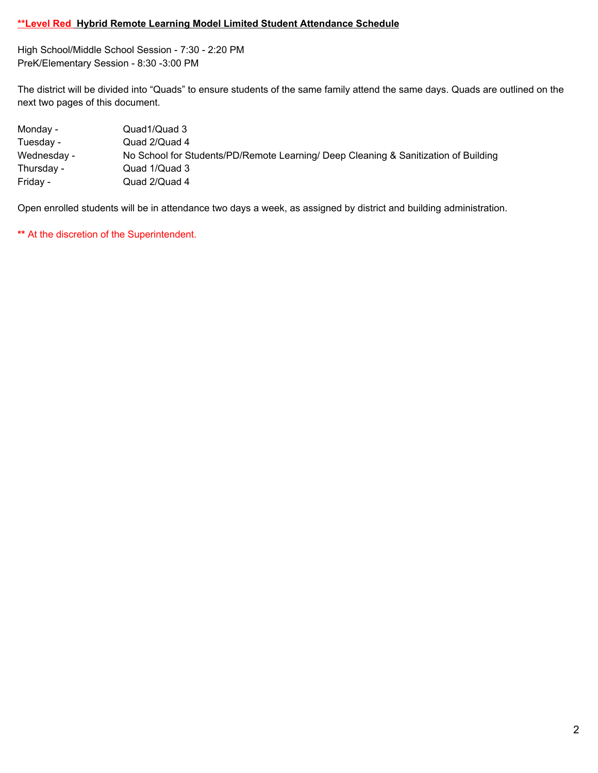## **\*\*Level Red Hybrid Remote Learning Model Limited Student Attendance Schedule**

High School/Middle School Session - 7:30 - 2:20 PM PreK/Elementary Session - 8:30 -3:00 PM

The district will be divided into "Quads" to ensure students of the same family attend the same days. Quads are outlined on the next two pages of this document.

| Monday -    | Quad1/Quad 3                                                                        |
|-------------|-------------------------------------------------------------------------------------|
| Tuesday -   | Quad 2/Quad 4                                                                       |
| Wednesday - | No School for Students/PD/Remote Learning/ Deep Cleaning & Sanitization of Building |
| Thursday -  | Quad 1/Quad 3                                                                       |
| Friday -    | Quad 2/Quad 4                                                                       |

Open enrolled students will be in attendance two days a week, as assigned by district and building administration.

**\*\*** At the discretion of the Superintendent.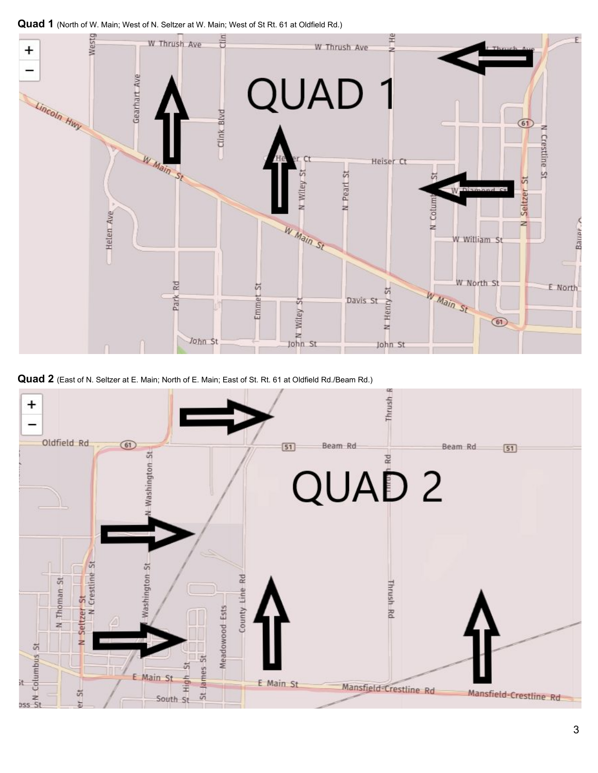**Quad 1** (North of W. Main; West of N. Seltzer at W. Main; West of St Rt. 61 at Oldfield Rd.)



**Quad 2** (East of N. Seltzer at E. Main; North of E. Main; East of St. Rt. 61 at Oldfield Rd./Beam Rd.)

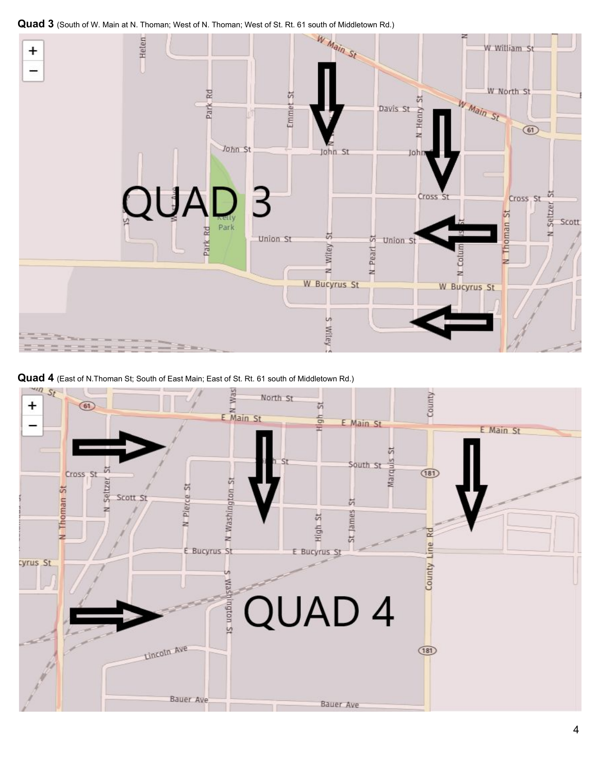

**Quad 4** (East of N.Thoman St; South of East Main; East of St. Rt. 61 south of Middletown Rd.)

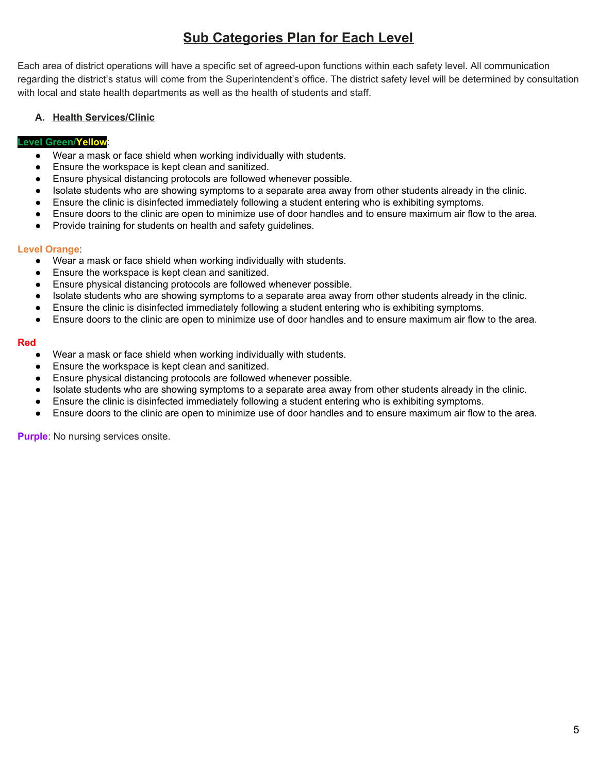# **Sub Categories Plan for Each Level**

Each area of district operations will have a specific set of agreed-upon functions within each safety level. All communication regarding the district's status will come from the Superintendent's office. The district safety level will be determined by consultation with local and state health departments as well as the health of students and staff.

## **A. Health Services/Clinic**

## **Level Green/Yellow**:

- Wear a mask or face shield when working individually with students.
- Ensure the workspace is kept clean and sanitized.
- Ensure physical distancing protocols are followed whenever possible.
- Isolate students who are showing symptoms to a separate area away from other students already in the clinic.
- Ensure the clinic is disinfected immediately following a student entering who is exhibiting symptoms.
- Ensure doors to the clinic are open to minimize use of door handles and to ensure maximum air flow to the area.
- Provide training for students on health and safety guidelines.

## **Level Orange**:

- Wear a mask or face shield when working individually with students.
- Ensure the workspace is kept clean and sanitized.
- Ensure physical distancing protocols are followed whenever possible.
- Isolate students who are showing symptoms to a separate area away from other students already in the clinic.
- Ensure the clinic is disinfected immediately following a student entering who is exhibiting symptoms.
- Ensure doors to the clinic are open to minimize use of door handles and to ensure maximum air flow to the area.

#### **Red**

- Wear a mask or face shield when working individually with students.
- Ensure the workspace is kept clean and sanitized.
- Ensure physical distancing protocols are followed whenever possible.
- Isolate students who are showing symptoms to a separate area away from other students already in the clinic.
- Ensure the clinic is disinfected immediately following a student entering who is exhibiting symptoms.
- Ensure doors to the clinic are open to minimize use of door handles and to ensure maximum air flow to the area.

**Purple:** No nursing services onsite.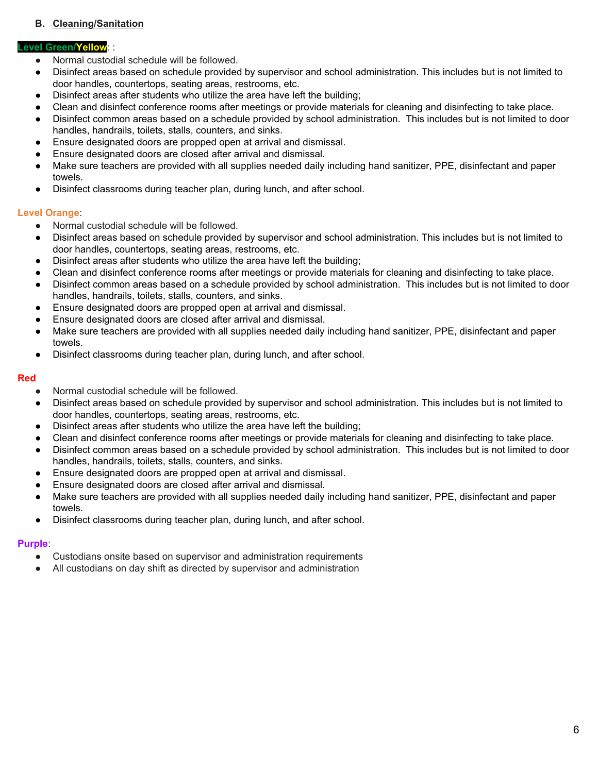## **B. Cleaning/Sanitation**

#### **Level Green/Yellow**: :

- Normal custodial schedule will be followed.
- Disinfect areas based on schedule provided by supervisor and school administration. This includes but is not limited to door handles, countertops, seating areas, restrooms, etc.
- Disinfect areas after students who utilize the area have left the building;
- Clean and disinfect conference rooms after meetings or provide materials for cleaning and disinfecting to take place.
- Disinfect common areas based on a schedule provided by school administration. This includes but is not limited to door handles, handrails, toilets, stalls, counters, and sinks.
- Ensure designated doors are propped open at arrival and dismissal.
- Ensure designated doors are closed after arrival and dismissal.
- Make sure teachers are provided with all supplies needed daily including hand sanitizer, PPE, disinfectant and paper towels.
- Disinfect classrooms during teacher plan, during lunch, and after school.

### **Level Orange**:

- Normal custodial schedule will be followed.
- Disinfect areas based on schedule provided by supervisor and school administration. This includes but is not limited to door handles, countertops, seating areas, restrooms, etc.
- Disinfect areas after students who utilize the area have left the building;
- Clean and disinfect conference rooms after meetings or provide materials for cleaning and disinfecting to take place.
- Disinfect common areas based on a schedule provided by school administration. This includes but is not limited to door handles, handrails, toilets, stalls, counters, and sinks.
- Ensure designated doors are propped open at arrival and dismissal.
- Ensure designated doors are closed after arrival and dismissal.
- Make sure teachers are provided with all supplies needed daily including hand sanitizer, PPE, disinfectant and paper towels.
- Disinfect classrooms during teacher plan, during lunch, and after school.

#### **Red**

- Normal custodial schedule will be followed.
- Disinfect areas based on schedule provided by supervisor and school administration. This includes but is not limited to door handles, countertops, seating areas, restrooms, etc.
- Disinfect areas after students who utilize the area have left the building;
- Clean and disinfect conference rooms after meetings or provide materials for cleaning and disinfecting to take place.
- Disinfect common areas based on a schedule provided by school administration. This includes but is not limited to door handles, handrails, toilets, stalls, counters, and sinks.
- Ensure designated doors are propped open at arrival and dismissal.
- Ensure designated doors are closed after arrival and dismissal.
- Make sure teachers are provided with all supplies needed daily including hand sanitizer, PPE, disinfectant and paper towels.
- Disinfect classrooms during teacher plan, during lunch, and after school.

#### **Purple**:

- Custodians onsite based on supervisor and administration requirements
- All custodians on day shift as directed by supervisor and administration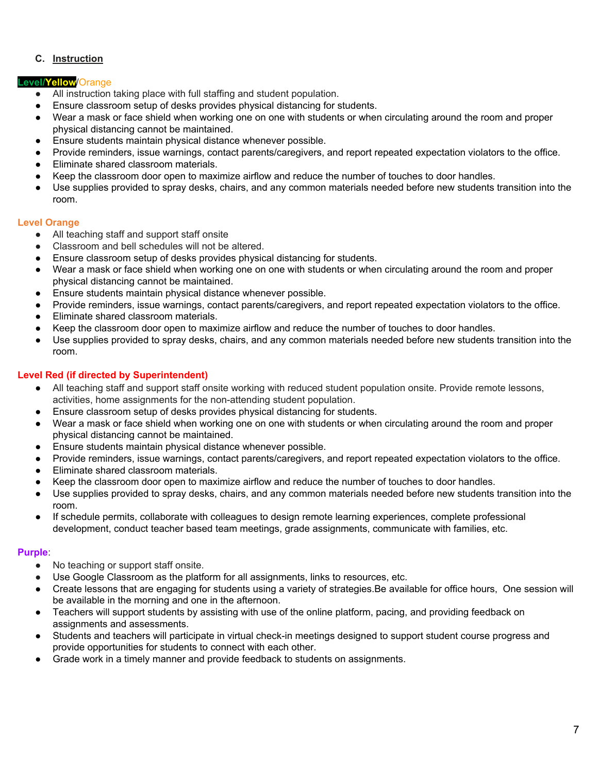## **C. Instruction**

## **Level/Yellow**/Orange

- All instruction taking place with full staffing and student population.
- Ensure classroom setup of desks provides physical distancing for students.
- Wear a mask or face shield when working one on one with students or when circulating around the room and proper physical distancing cannot be maintained.
- Ensure students maintain physical distance whenever possible.
- Provide reminders, issue warnings, contact parents/caregivers, and report repeated expectation violators to the office.
- Eliminate shared classroom materials.
- Keep the classroom door open to maximize airflow and reduce the number of touches to door handles.
- Use supplies provided to spray desks, chairs, and any common materials needed before new students transition into the room.

### **Level Orange**

- All teaching staff and support staff onsite
- Classroom and bell schedules will not be altered.
- Ensure classroom setup of desks provides physical distancing for students.
- Wear a mask or face shield when working one on one with students or when circulating around the room and proper physical distancing cannot be maintained.
- Ensure students maintain physical distance whenever possible.
- Provide reminders, issue warnings, contact parents/caregivers, and report repeated expectation violators to the office.
- Eliminate shared classroom materials.
- Keep the classroom door open to maximize airflow and reduce the number of touches to door handles.
- Use supplies provided to spray desks, chairs, and any common materials needed before new students transition into the room.

## **Level Red (if directed by Superintendent)**

- All teaching staff and support staff onsite working with reduced student population onsite. Provide remote lessons, activities, home assignments for the non-attending student population.
- Ensure classroom setup of desks provides physical distancing for students.
- Wear a mask or face shield when working one on one with students or when circulating around the room and proper physical distancing cannot be maintained.
- Ensure students maintain physical distance whenever possible.
- Provide reminders, issue warnings, contact parents/caregivers, and report repeated expectation violators to the office.
- Eliminate shared classroom materials.
- Keep the classroom door open to maximize airflow and reduce the number of touches to door handles.
- Use supplies provided to spray desks, chairs, and any common materials needed before new students transition into the room.
- If schedule permits, collaborate with colleagues to design remote learning experiences, complete professional development, conduct teacher based team meetings, grade assignments, communicate with families, etc.

#### **Purple**:

- No teaching or support staff onsite.
- Use Google Classroom as the platform for all assignments, links to resources, etc.
- Create lessons that are engaging for students using a variety of strategies.Be available for office hours, One session will be available in the morning and one in the afternoon.
- Teachers will support students by assisting with use of the online platform, pacing, and providing feedback on assignments and assessments.
- Students and teachers will participate in virtual check-in meetings designed to support student course progress and provide opportunities for students to connect with each other.
- Grade work in a timely manner and provide feedback to students on assignments.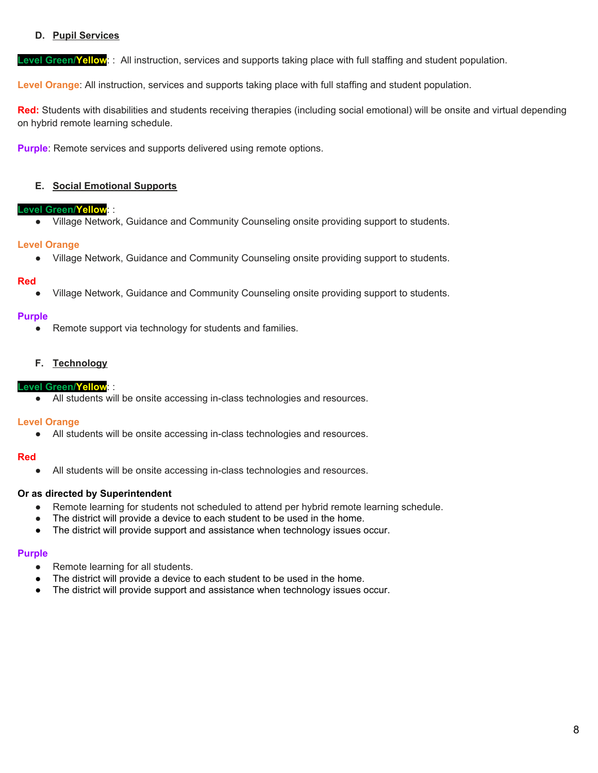## **D. Pupil Services**

**Level Green/Yellow**: : All instruction, services and supports taking place with full staffing and student population.

**Level Orange**: All instruction, services and supports taking place with full staffing and student population.

**Red:** Students with disabilities and students receiving therapies (including social emotional) will be onsite and virtual depending on hybrid remote learning schedule.

**Purple**: Remote services and supports delivered using remote options.

#### **E. Social Emotional Supports**

#### **Level Green/Yellow**: :

● Village Network, Guidance and Community Counseling onsite providing support to students.

### **Level Orange**

● Village Network, Guidance and Community Counseling onsite providing support to students.

### **Red**

Village Network, Guidance and Community Counseling onsite providing support to students.

### **Purple**

• Remote support via technology for students and families.

### **F. Technology**

#### **Level Green/Yellow**: :

● All students will be onsite accessing in-class technologies and resources.

#### **Level Orange**

● All students will be onsite accessing in-class technologies and resources.

#### **Red**

● All students will be onsite accessing in-class technologies and resources.

#### **Or as directed by Superintendent**

- Remote learning for students not scheduled to attend per hybrid remote learning schedule.
- The district will provide a device to each student to be used in the home.
- The district will provide support and assistance when technology issues occur.

#### **Purple**

- Remote learning for all students.
- The district will provide a device to each student to be used in the home.
- The district will provide support and assistance when technology issues occur.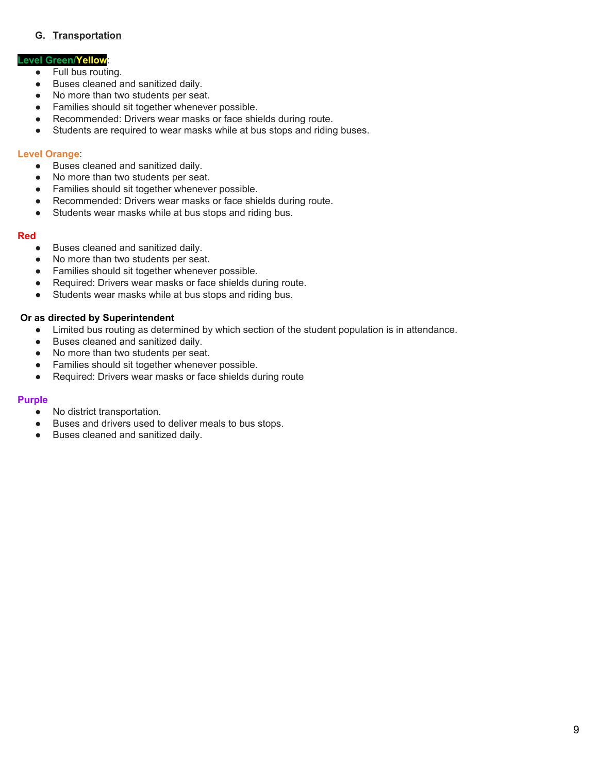## **G. Transportation**

## **Level Green/Yellow**:

- Full bus routing.
- Buses cleaned and sanitized daily.
- No more than two students per seat.
- Families should sit together whenever possible.
- Recommended: Drivers wear masks or face shields during route.
- Students are required to wear masks while at bus stops and riding buses.

### **Level Orange**:

- Buses cleaned and sanitized daily.
- No more than two students per seat.
- Families should sit together whenever possible.
- Recommended: Drivers wear masks or face shields during route.
- Students wear masks while at bus stops and riding bus.

#### **Red**

- Buses cleaned and sanitized daily.
- No more than two students per seat.
- Families should sit together whenever possible.
- Required: Drivers wear masks or face shields during route.
- Students wear masks while at bus stops and riding bus.

#### **Or as directed by Superintendent**

- Limited bus routing as determined by which section of the student population is in attendance.
- Buses cleaned and sanitized daily.
- No more than two students per seat.
- Families should sit together whenever possible.
- Required: Drivers wear masks or face shields during route

## **Purple**

- No district transportation.
- Buses and drivers used to deliver meals to bus stops.
- Buses cleaned and sanitized daily.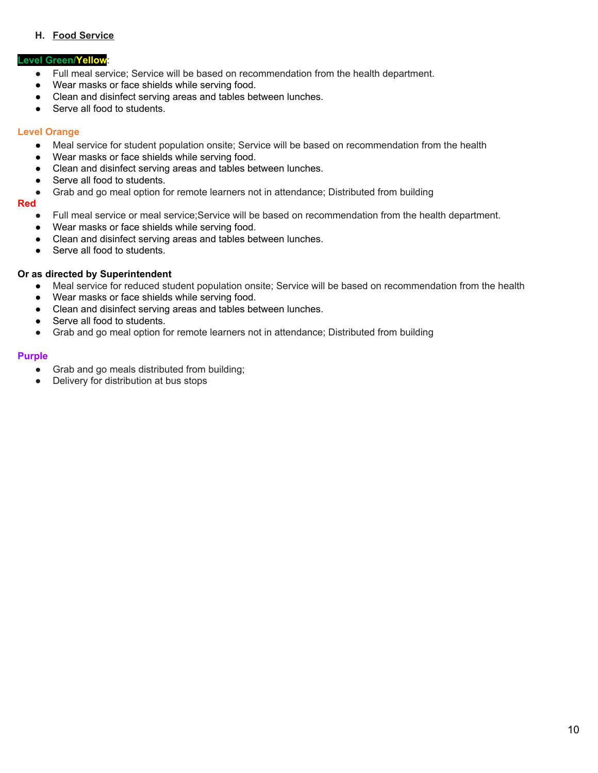# **H. Food Service**

## **Level Green/Yellow**:

- Full meal service; Service will be based on recommendation from the health department.
- Wear masks or face shields while serving food.
- Clean and disinfect serving areas and tables between lunches.
- Serve all food to students.

## **Level Orange**

- Meal service for student population onsite; Service will be based on recommendation from the health
- Wear masks or face shields while serving food.
- Clean and disinfect serving areas and tables between lunches.
- Serve all food to students.
- Grab and go meal option for remote learners not in attendance; Distributed from building

### **Red**

- Full meal service or meal service;Service will be based on recommendation from the health department.
- Wear masks or face shields while serving food.
- Clean and disinfect serving areas and tables between lunches.
- Serve all food to students.

### **Or as directed by Superintendent**

- Meal service for reduced student population onsite; Service will be based on recommendation from the health
- Wear masks or face shields while serving food.
- Clean and disinfect serving areas and tables between lunches.
- Serve all food to students.
- Grab and go meal option for remote learners not in attendance; Distributed from building

#### **Purple**

- Grab and go meals distributed from building;
- Delivery for distribution at bus stops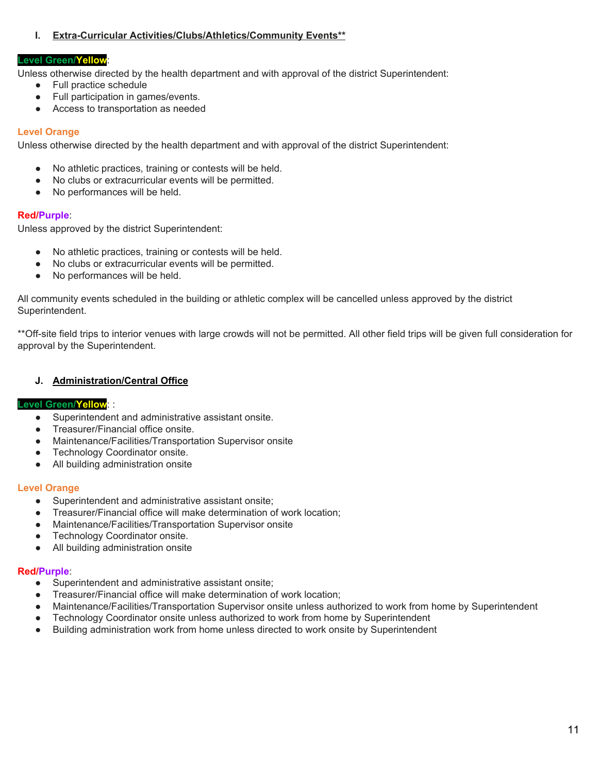## **I. Extra-Curricular Activities/Clubs/Athletics/Community Events\*\***

#### **Level Green/Yellow**:

Unless otherwise directed by the health department and with approval of the district Superintendent:

- Full practice schedule
- Full participation in games/events.
- Access to transportation as needed

## **Level Orange**

Unless otherwise directed by the health department and with approval of the district Superintendent:

- No athletic practices, training or contests will be held.
- No clubs or extracurricular events will be permitted.
- No performances will be held.

### **Red/Purple**:

Unless approved by the district Superintendent:

- No athletic practices, training or contests will be held.
- No clubs or extracurricular events will be permitted.
- No performances will be held.

All community events scheduled in the building or athletic complex will be cancelled unless approved by the district Superintendent.

\*\*Off-site field trips to interior venues with large crowds will not be permitted. All other field trips will be given full consideration for approval by the Superintendent.

## **J. Administration/Central Office**

#### **Level Green/Yellow**: :

- Superintendent and administrative assistant onsite.
- Treasurer/Financial office onsite.
- Maintenance/Facilities/Transportation Supervisor onsite
- Technology Coordinator onsite.
- All building administration onsite

#### **Level Orange**

- Superintendent and administrative assistant onsite;
- Treasurer/Financial office will make determination of work location:
- Maintenance/Facilities/Transportation Supervisor onsite
- Technology Coordinator onsite.
- All building administration onsite

#### **Red/Purple**:

- Superintendent and administrative assistant onsite;
- Treasurer/Financial office will make determination of work location;
- Maintenance/Facilities/Transportation Supervisor onsite unless authorized to work from home by Superintendent
- Technology Coordinator onsite unless authorized to work from home by Superintendent
- Building administration work from home unless directed to work onsite by Superintendent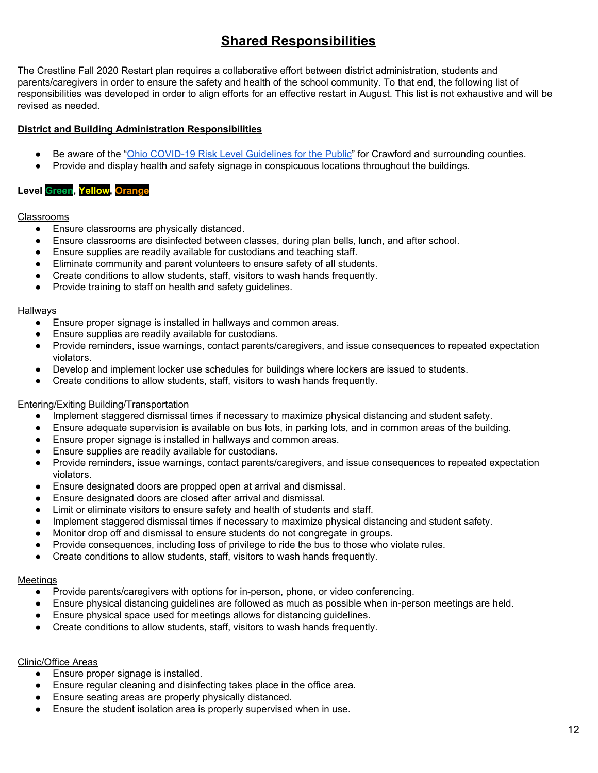# **Shared Responsibilities**

The Crestline Fall 2020 Restart plan requires a collaborative effort between district administration, students and parents/caregivers in order to ensure the safety and health of the school community. To that end, the following list of responsibilities was developed in order to align efforts for an effective restart in August. This list is not exhaustive and will be revised as needed.

## **District and Building Administration Responsibilities**

- Be aware of the "Ohio COVID-19 Risk Level [Guidelines](https://coronavirus.ohio.gov/wps/portal/gov/covid-19/public-health-advisory-system/) for the Public" for Crawford and surrounding counties.
- Provide and display health and safety signage in conspicuous locations throughout the buildings.

# **Level Green, Yellow, Orange**

### Classrooms

- Ensure classrooms are physically distanced.
- Ensure classrooms are disinfected between classes, during plan bells, lunch, and after school.
- Ensure supplies are readily available for custodians and teaching staff.
- Eliminate community and parent volunteers to ensure safety of all students.
- Create conditions to allow students, staff, visitors to wash hands frequently.
- Provide training to staff on health and safety guidelines.

#### Hallways

- Ensure proper signage is installed in hallways and common areas.
- Ensure supplies are readily available for custodians.
- Provide reminders, issue warnings, contact parents/caregivers, and issue consequences to repeated expectation violators.
- Develop and implement locker use schedules for buildings where lockers are issued to students.
- Create conditions to allow students, staff, visitors to wash hands frequently.

#### Entering/Exiting Building/Transportation

- Implement staggered dismissal times if necessary to maximize physical distancing and student safety.
- Ensure adequate supervision is available on bus lots, in parking lots, and in common areas of the building.
- Ensure proper signage is installed in hallways and common areas.
- Ensure supplies are readily available for custodians.
- Provide reminders, issue warnings, contact parents/caregivers, and issue consequences to repeated expectation violators.
- Ensure designated doors are propped open at arrival and dismissal.
- Ensure designated doors are closed after arrival and dismissal.
- Limit or eliminate visitors to ensure safety and health of students and staff.
- Implement staggered dismissal times if necessary to maximize physical distancing and student safety.
- Monitor drop off and dismissal to ensure students do not congregate in groups.
- Provide consequences, including loss of privilege to ride the bus to those who violate rules.
- Create conditions to allow students, staff, visitors to wash hands frequently.

#### Meetings

- Provide parents/caregivers with options for in-person, phone, or video conferencing.
- Ensure physical distancing guidelines are followed as much as possible when in-person meetings are held.
- Ensure physical space used for meetings allows for distancing guidelines.
- Create conditions to allow students, staff, visitors to wash hands frequently.

#### Clinic/Office Areas

- Ensure proper signage is installed.
- Ensure regular cleaning and disinfecting takes place in the office area.
- Ensure seating areas are properly physically distanced.
- Ensure the student isolation area is properly supervised when in use.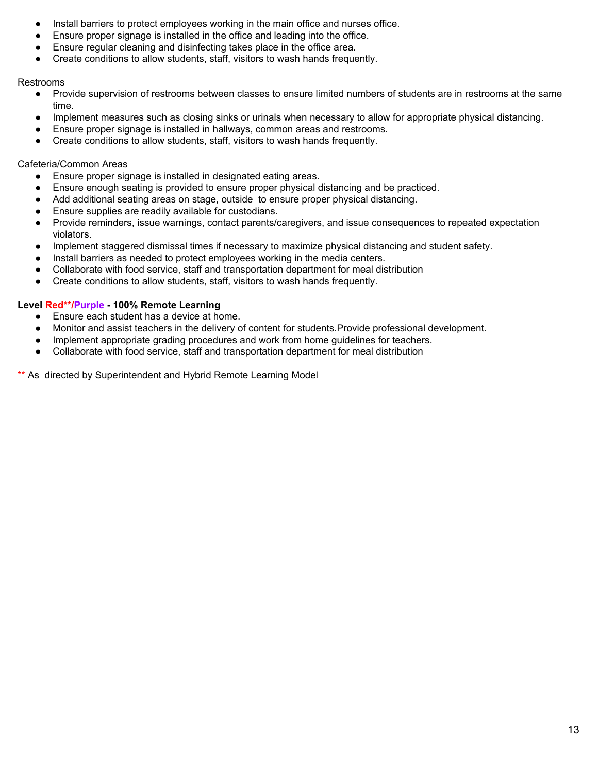- Install barriers to protect employees working in the main office and nurses office.
- Ensure proper signage is installed in the office and leading into the office.
- Ensure regular cleaning and disinfecting takes place in the office area.
- Create conditions to allow students, staff, visitors to wash hands frequently.

#### Restrooms

- Provide supervision of restrooms between classes to ensure limited numbers of students are in restrooms at the same time.
- Implement measures such as closing sinks or urinals when necessary to allow for appropriate physical distancing.
- Ensure proper signage is installed in hallways, common areas and restrooms.
- Create conditions to allow students, staff, visitors to wash hands frequently.

#### Cafeteria/Common Areas

- Ensure proper signage is installed in designated eating areas.
- Ensure enough seating is provided to ensure proper physical distancing and be practiced.
- Add additional seating areas on stage, outside to ensure proper physical distancing.
- Ensure supplies are readily available for custodians.
- Provide reminders, issue warnings, contact parents/caregivers, and issue consequences to repeated expectation violators.
- Implement staggered dismissal times if necessary to maximize physical distancing and student safety.
- Install barriers as needed to protect employees working in the media centers.
- Collaborate with food service, staff and transportation department for meal distribution
- Create conditions to allow students, staff, visitors to wash hands frequently.

### **Level Red\*\*/Purple - 100% Remote Learning**

- Ensure each student has a device at home.
- Monitor and assist teachers in the delivery of content for students.Provide professional development.
- Implement appropriate grading procedures and work from home guidelines for teachers.
- Collaborate with food service, staff and transportation department for meal distribution

\*\* As directed by Superintendent and Hybrid Remote Learning Model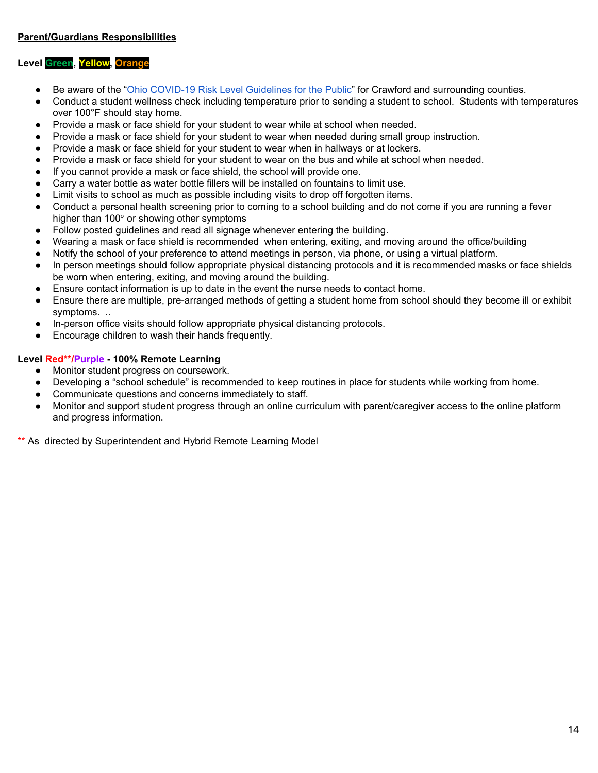## **Level Green, Yellow, Orange**

- Be aware of the "Ohio COVID-19 Risk Level [Guidelines](https://coronavirus.ohio.gov/wps/portal/gov/covid-19/public-health-advisory-system/) for the Public" for Crawford and surrounding counties.
- Conduct a student wellness check including temperature prior to sending a student to school. Students with temperatures over 100°F should stay home.
- Provide a mask or face shield for your student to wear while at school when needed.
- Provide a mask or face shield for your student to wear when needed during small group instruction.
- Provide a mask or face shield for your student to wear when in hallways or at lockers.
- Provide a mask or face shield for your student to wear on the bus and while at school when needed.
- If you cannot provide a mask or face shield, the school will provide one.
- Carry a water bottle as water bottle fillers will be installed on fountains to limit use.
- Limit visits to school as much as possible including visits to drop off forgotten items.
- Conduct a personal health screening prior to coming to a school building and do not come if you are running a fever higher than  $100^\circ$  or showing other symptoms
- Follow posted guidelines and read all signage whenever entering the building.
- Wearing a mask or face shield is recommended when entering, exiting, and moving around the office/building
- Notify the school of your preference to attend meetings in person, via phone, or using a virtual platform.
- In person meetings should follow appropriate physical distancing protocols and it is recommended masks or face shields be worn when entering, exiting, and moving around the building.
- Ensure contact information is up to date in the event the nurse needs to contact home.
- Ensure there are multiple, pre-arranged methods of getting a student home from school should they become ill or exhibit symptoms. ..
- In-person office visits should follow appropriate physical distancing protocols.
- Encourage children to wash their hands frequently.

### **Level Red\*\*/Purple - 100% Remote Learning**

- Monitor student progress on coursework.
- Developing a "school schedule" is recommended to keep routines in place for students while working from home.
- Communicate questions and concerns immediately to staff.
- Monitor and support student progress through an online curriculum with parent/caregiver access to the online platform and progress information.

\*\* As directed by Superintendent and Hybrid Remote Learning Model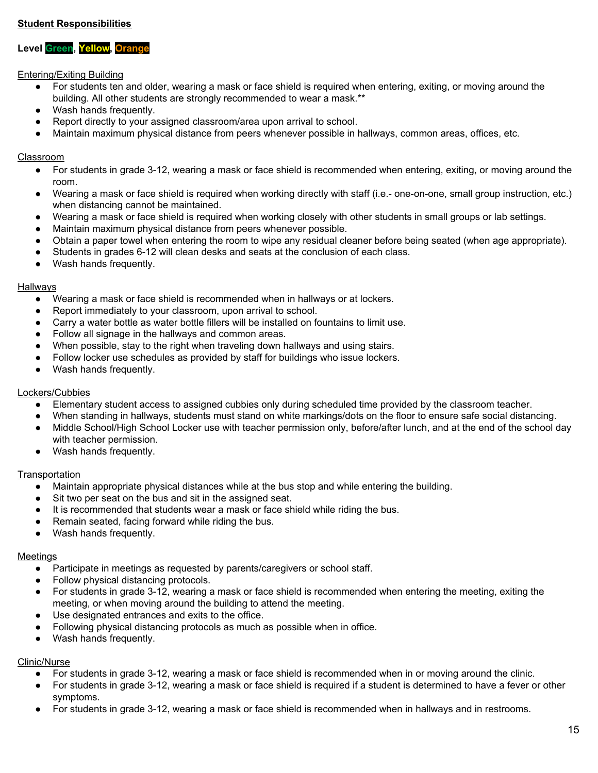## **Student Responsibilities**

## **Level Green, Yellow, Orange**

#### Entering/Exiting Building

- For students ten and older, wearing a mask or face shield is required when entering, exiting, or moving around the building. All other students are strongly recommended to wear a mask.\*\*
- Wash hands frequently.
- Report directly to your assigned classroom/area upon arrival to school.
- Maintain maximum physical distance from peers whenever possible in hallways, common areas, offices, etc.

#### Classroom

- For students in grade 3-12, wearing a mask or face shield is recommended when entering, exiting, or moving around the room.
- Wearing a mask or face shield is required when working directly with staff (i.e.- one-on-one, small group instruction, etc.) when distancing cannot be maintained.
- Wearing a mask or face shield is required when working closely with other students in small groups or lab settings.
- Maintain maximum physical distance from peers whenever possible.
- Obtain a paper towel when entering the room to wipe any residual cleaner before being seated (when age appropriate).
- Students in grades 6-12 will clean desks and seats at the conclusion of each class.
- Wash hands frequently.

#### **Hallways**

- Wearing a mask or face shield is recommended when in hallways or at lockers.
- Report immediately to your classroom, upon arrival to school.
- Carry a water bottle as water bottle fillers will be installed on fountains to limit use.
- Follow all signage in the hallways and common areas.
- When possible, stay to the right when traveling down hallways and using stairs.
- Follow locker use schedules as provided by staff for buildings who issue lockers.
- Wash hands frequently.

### Lockers/Cubbies

- Elementary student access to assigned cubbies only during scheduled time provided by the classroom teacher.
- When standing in hallways, students must stand on white markings/dots on the floor to ensure safe social distancing.
- Middle School/High School Locker use with teacher permission only, before/after lunch, and at the end of the school day with teacher permission.
- Wash hands frequently.

#### **Transportation**

- Maintain appropriate physical distances while at the bus stop and while entering the building.
- Sit two per seat on the bus and sit in the assigned seat.
- It is recommended that students wear a mask or face shield while riding the bus.
- Remain seated, facing forward while riding the bus.
- Wash hands frequently.

#### **Meetings**

- Participate in meetings as requested by parents/caregivers or school staff.
- Follow physical distancing protocols.
- For students in grade 3-12, wearing a mask or face shield is recommended when entering the meeting, exiting the meeting, or when moving around the building to attend the meeting.
- Use designated entrances and exits to the office.
- Following physical distancing protocols as much as possible when in office.
- Wash hands frequently.

#### Clinic/Nurse

- For students in grade 3-12, wearing a mask or face shield is recommended when in or moving around the clinic.
- For students in grade 3-12, wearing a mask or face shield is required if a student is determined to have a fever or other symptoms.
- For students in grade 3-12, wearing a mask or face shield is recommended when in hallways and in restrooms.